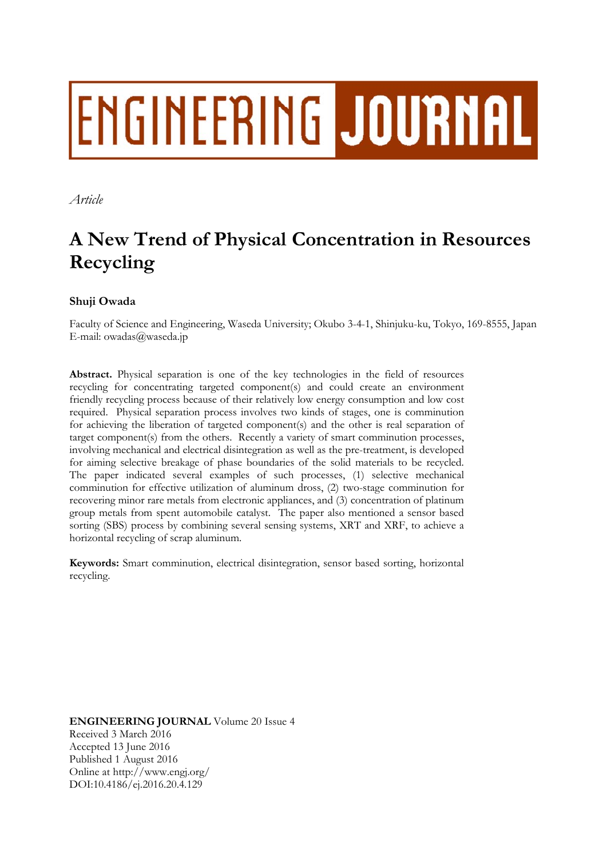# ENGINEERING JOURNAL

*Article* 

# **A New Trend of Physical Concentration in Resources Recycling**

# **Shuji Owada**

Faculty of Science and Engineering, Waseda University; Okubo 3-4-1, Shinjuku-ku, Tokyo, 169-8555, Japan E-mail: owadas@waseda.jp

**Abstract.** Physical separation is one of the key technologies in the field of resources recycling for concentrating targeted component(s) and could create an environment friendly recycling process because of their relatively low energy consumption and low cost required. Physical separation process involves two kinds of stages, one is comminution for achieving the liberation of targeted component(s) and the other is real separation of target component(s) from the others. Recently a variety of smart comminution processes, involving mechanical and electrical disintegration as well as the pre-treatment, is developed for aiming selective breakage of phase boundaries of the solid materials to be recycled. The paper indicated several examples of such processes, (1) selective mechanical comminution for effective utilization of aluminum dross, (2) two-stage comminution for recovering minor rare metals from electronic appliances, and (3) concentration of platinum group metals from spent automobile catalyst. The paper also mentioned a sensor based sorting (SBS) process by combining several sensing systems, XRT and XRF, to achieve a horizontal recycling of scrap aluminum.

**Keywords:** Smart comminution, electrical disintegration, sensor based sorting, horizontal recycling.

**ENGINEERING JOURNAL** Volume 20 Issue 4 Received 3 March 2016 Accepted 13 June 2016 Published 1 August 2016 Online at http://www.engj.org/ DOI:10.4186/ej.2016.20.4.129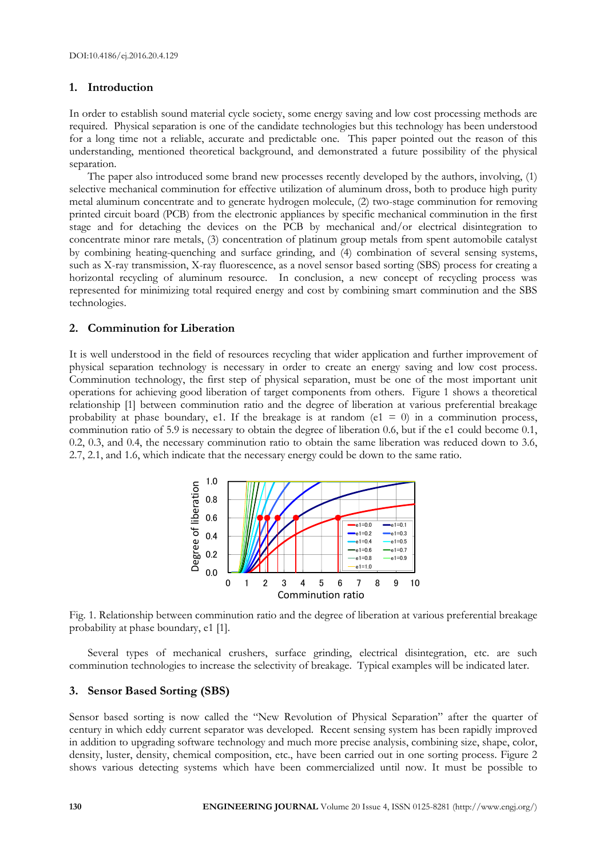#### **1. Introduction**

In order to establish sound material cycle society, some energy saving and low cost processing methods are required. Physical separation is one of the candidate technologies but this technology has been understood for a long time not a reliable, accurate and predictable one. This paper pointed out the reason of this understanding, mentioned theoretical background, and demonstrated a future possibility of the physical separation.

The paper also introduced some brand new processes recently developed by the authors, involving, (1) selective mechanical comminution for effective utilization of aluminum dross, both to produce high purity metal aluminum concentrate and to generate hydrogen molecule, (2) two-stage comminution for removing printed circuit board (PCB) from the electronic appliances by specific mechanical comminution in the first stage and for detaching the devices on the PCB by mechanical and/or electrical disintegration to concentrate minor rare metals, (3) concentration of platinum group metals from spent automobile catalyst by combining heating-quenching and surface grinding, and (4) combination of several sensing systems, such as X-ray transmission, X-ray fluorescence, as a novel sensor based sorting (SBS) process for creating a horizontal recycling of aluminum resource. In conclusion, a new concept of recycling process was represented for minimizing total required energy and cost by combining smart comminution and the SBS technologies.

#### **2. Comminution for Liberation**

It is well understood in the field of resources recycling that wider application and further improvement of physical separation technology is necessary in order to create an energy saving and low cost process. Comminution technology, the first step of physical separation, must be one of the most important unit operations for achieving good liberation of target components from others. Figure 1 shows a theoretical relationship [1] between comminution ratio and the degree of liberation at various preferential breakage probability at phase boundary, e1. If the breakage is at random (e1 = 0) in a comminution process, comminution ratio of 5.9 is necessary to obtain the degree of liberation 0.6, but if the e1 could become 0.1, 0.2, 0.3, and 0.4, the necessary comminution ratio to obtain the same liberation was reduced down to 3.6, 2.7, 2.1, and 1.6, which indicate that the necessary energy could be down to the same ratio.



Fig. 1. Relationship between comminution ratio and the degree of liberation at various preferential breakage probability at phase boundary, e1 [1].

Several types of mechanical crushers, surface grinding, electrical disintegration, etc. are such comminution technologies to increase the selectivity of breakage. Typical examples will be indicated later.

#### **3. Sensor Based Sorting (SBS)**

Sensor based sorting is now called the "New Revolution of Physical Separation" after the quarter of century in which eddy current separator was developed. Recent sensing system has been rapidly improved in addition to upgrading software technology and much more precise analysis, combining size, shape, color, density, luster, density, chemical composition, etc., have been carried out in one sorting process. Figure 2 shows various detecting systems which have been commercialized until now. It must be possible to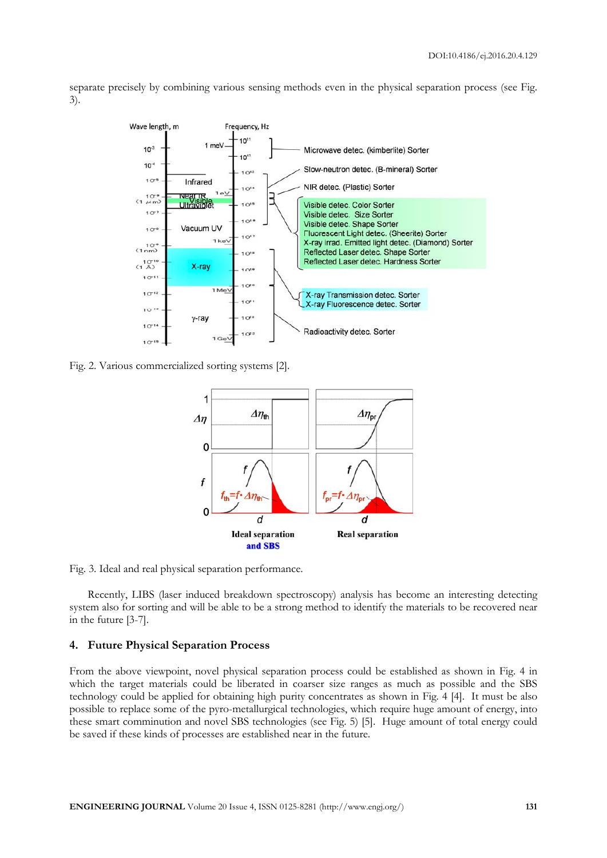separate precisely by combining various sensing methods even in the physical separation process (see Fig. 3).



Fig. 2. Various commercialized sorting systems [2].



Fig. 3. Ideal and real physical separation performance.

Recently, LIBS (laser induced breakdown spectroscopy) analysis has become an interesting detecting system also for sorting and will be able to be a strong method to identify the materials to be recovered near in the future [3-7].

#### **4. Future Physical Separation Process**

From the above viewpoint, novel physical separation process could be established as shown in Fig. 4 in which the target materials could be liberated in coarser size ranges as much as possible and the SBS technology could be applied for obtaining high purity concentrates as shown in Fig. 4 [4]. It must be also possible to replace some of the pyro-metallurgical technologies, which require huge amount of energy, into these smart comminution and novel SBS technologies (see Fig. 5) [5]. Huge amount of total energy could be saved if these kinds of processes are established near in the future.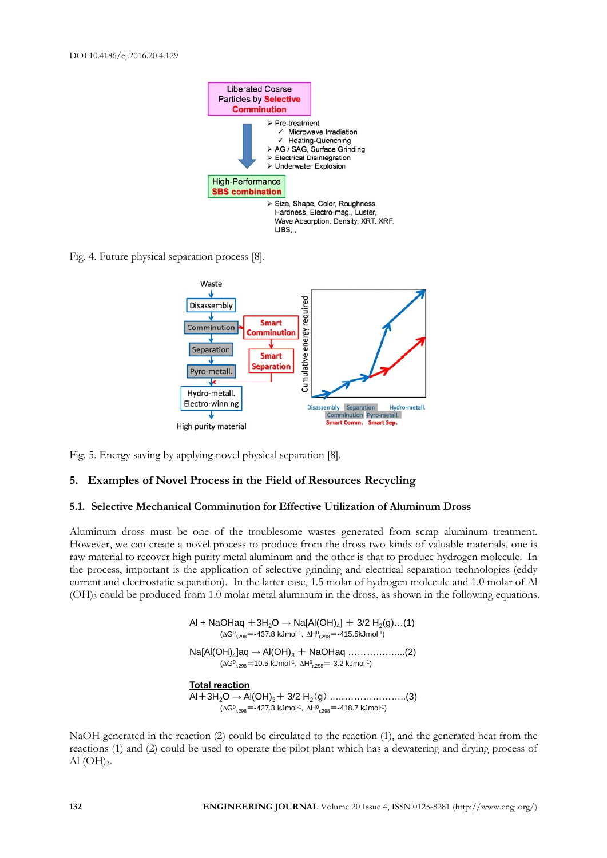

Fig. 4. Future physical separation process [8].



Fig. 5. Energy saving by applying novel physical separation [8].

#### **5. Examples of Novel Process in the Field of Resources Recycling**

#### **5.1. Selective Mechanical Comminution for Effective Utilization of Aluminum Dross**

Aluminum dross must be one of the troublesome wastes generated from scrap aluminum treatment. However, we can create a novel process to produce from the dross two kinds of valuable materials, one is raw material to recover high purity metal aluminum and the other is that to produce hydrogen molecule. In the process, important is the application of selective grinding and electrical separation technologies (eddy current and electrostatic separation). In the latter case, 1.5 molar of hydrogen molecule and 1.0 molar of Al (OH)3 could be produced from 1.0 molar metal aluminum in the dross, as shown in the following equations.

> Al + NaOHaq +3H<sub>2</sub>O  $\rightarrow$  Na[Al(OH)<sub>4</sub>] + 3/2 H<sub>2</sub>(g)...(1)  $(\Delta G_{r,298}^0 = -437.8 \text{ kJ}$ mol<sup>-1</sup>,  $\Delta H_{r,298}^0 = -415.5 \text{ kJ}$ mol<sup>-1</sup>) Na[Al(OH)<sub>4</sub>]aq → Al(OH)<sub>3</sub> + NaOHaq ……………….(2)  $(\Delta G^0_{r,298} = 10.5 \text{ kJ}$ mol<sup>-1</sup>,  $\Delta H^0_{r,298} = -3.2 \text{ kJ}$ mol<sup>-1</sup>) **Total reaction** Al+3H2O **→** Al(OH)3+ 3/2 H2(g) ..…………………..(3)

 $(\Delta G_{r,298}^0$  = -427.3 kJmol<sup>-1</sup>,  $\Delta H_{r,298}^0$  = -418.7 kJmol<sup>-1</sup>)

NaOH generated in the reaction (2) could be circulated to the reaction (1), and the generated heat from the reactions (1) and (2) could be used to operate the pilot plant which has a dewatering and drying process of Al  $(OH)_3$ .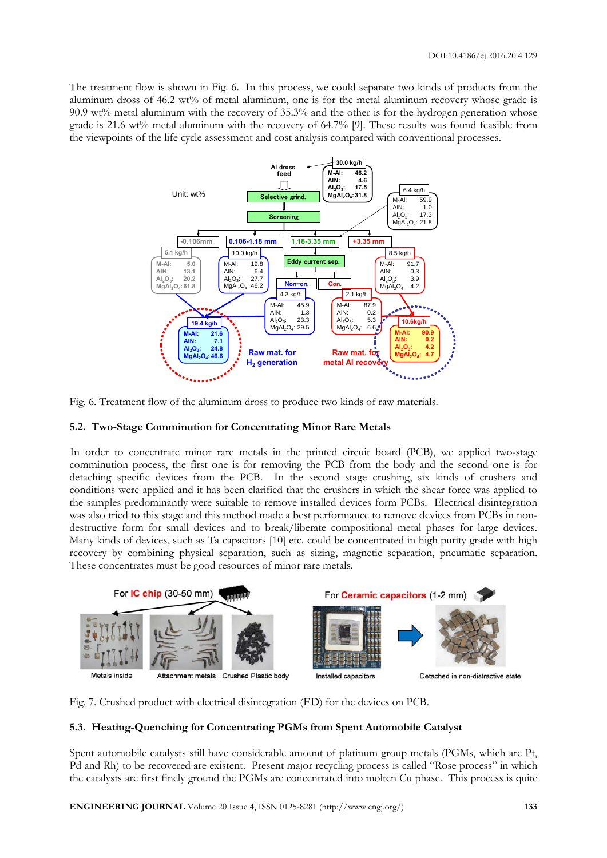The treatment flow is shown in Fig. 6. In this process, we could separate two kinds of products from the aluminum dross of 46.2 wt% of metal aluminum, one is for the metal aluminum recovery whose grade is 90.9 wt% metal aluminum with the recovery of 35.3% and the other is for the hydrogen generation whose grade is 21.6 wt% metal aluminum with the recovery of 64.7% [9]. These results was found feasible from the viewpoints of the life cycle assessment and cost analysis compared with conventional processes.



Fig. 6. Treatment flow of the aluminum dross to produce two kinds of raw materials.

### **5.2. Two-Stage Comminution for Concentrating Minor Rare Metals**

In order to concentrate minor rare metals in the printed circuit board (PCB), we applied two-stage comminution process, the first one is for removing the PCB from the body and the second one is for detaching specific devices from the PCB. In the second stage crushing, six kinds of crushers and conditions were applied and it has been clarified that the crushers in which the shear force was applied to the samples predominantly were suitable to remove installed devices form PCBs. Electrical disintegration was also tried to this stage and this method made a best performance to remove devices from PCBs in nondestructive form for small devices and to break/liberate compositional metal phases for large devices. Many kinds of devices, such as Ta capacitors [10] etc. could be concentrated in high purity grade with high recovery by combining physical separation, such as sizing, magnetic separation, pneumatic separation. These concentrates must be good resources of minor rare metals.



Fig. 7. Crushed product with electrical disintegration (ED) for the devices on PCB.

## **5.3. Heating-Quenching for Concentrating PGMs from Spent Automobile Catalyst**

Spent automobile catalysts still have considerable amount of platinum group metals (PGMs, which are Pt, Pd and Rh) to be recovered are existent. Present major recycling process is called "Rose process" in which the catalysts are first finely ground the PGMs are concentrated into molten Cu phase. This process is quite

**ENGINEERING JOURNAL** Volume 20 Issue 4, ISSN 0125-8281 (http://www.engj.org/) **133**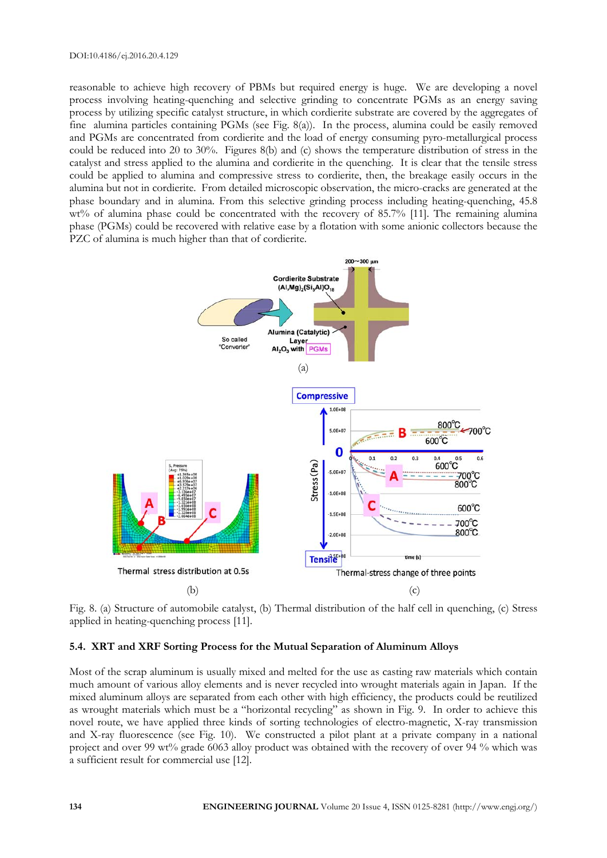reasonable to achieve high recovery of PBMs but required energy is huge. We are developing a novel process involving heating-quenching and selective grinding to concentrate PGMs as an energy saving process by utilizing specific catalyst structure, in which cordierite substrate are covered by the aggregates of fine alumina particles containing PGMs (see Fig. 8(a)). In the process, alumina could be easily removed and PGMs are concentrated from cordierite and the load of energy consuming pyro-metallurgical process could be reduced into 20 to 30%. Figures 8(b) and (c) shows the temperature distribution of stress in the catalyst and stress applied to the alumina and cordierite in the quenching. It is clear that the tensile stress could be applied to alumina and compressive stress to cordierite, then, the breakage easily occurs in the alumina but not in cordierite. From detailed microscopic observation, the micro-cracks are generated at the phase boundary and in alumina. From this selective grinding process including heating-quenching, 45.8 wt% of alumina phase could be concentrated with the recovery of 85.7% [11]. The remaining alumina phase (PGMs) could be recovered with relative ease by a flotation with some anionic collectors because the PZC of alumina is much higher than that of cordierite.



Fig. 8. (a) Structure of automobile catalyst, (b) Thermal distribution of the half cell in quenching, (c) Stress applied in heating-quenching process [11].

#### **5.4. XRT and XRF Sorting Process for the Mutual Separation of Aluminum Alloys**

Most of the scrap aluminum is usually mixed and melted for the use as casting raw materials which contain much amount of various alloy elements and is never recycled into wrought materials again in Japan. If the mixed aluminum alloys are separated from each other with high efficiency, the products could be reutilized as wrought materials which must be a "horizontal recycling" as shown in Fig. 9. In order to achieve this novel route, we have applied three kinds of sorting technologies of electro-magnetic, X-ray transmission and X-ray fluorescence (see Fig. 10). We constructed a pilot plant at a private company in a national project and over 99 wt% grade 6063 alloy product was obtained with the recovery of over 94 % which was a sufficient result for commercial use [12].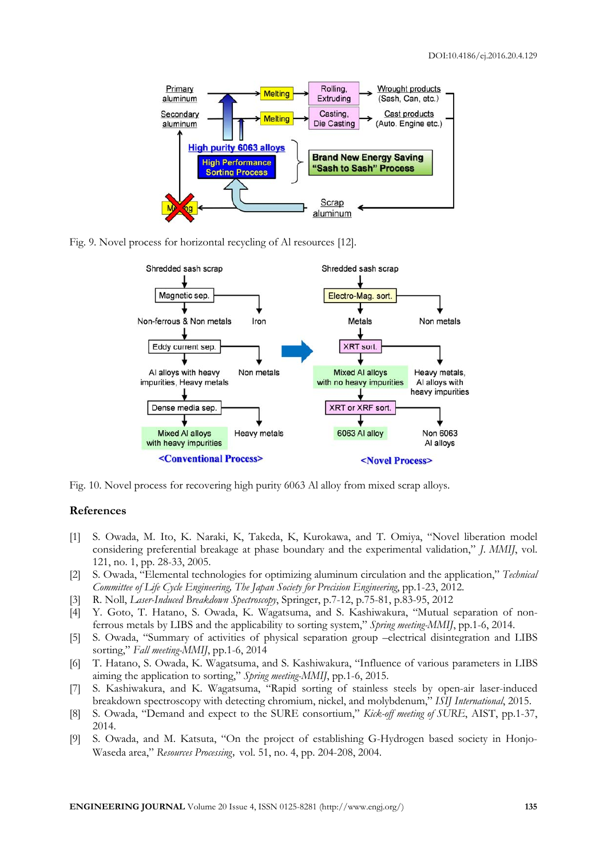

Fig. 9. Novel process for horizontal recycling of Al resources [12].



Fig. 10. Novel process for recovering high purity 6063 Al alloy from mixed scrap alloys.

#### **References**

- [1] S. Owada, M. Ito, K. Naraki, K, Takeda, K, Kurokawa, and T. Omiya, "Novel liberation model considering preferential breakage at phase boundary and the experimental validation," *J. MMIJ*, vol. 121, no. 1, pp. 28-33, 2005.
- [2] S. Owada, "Elemental technologies for optimizing aluminum circulation and the application," *Technical Committee of Life Cycle Engineering, The Japan Society for Precision Engineering*, pp.1-23, 2012.
- [3] R. Noll, *Laser-Induced Breakdown Spectroscopy*, Springer, p.7-12, p.75-81, p.83-95, 2012
- [4] Y. Goto, T. Hatano, S. Owada, K. Wagatsuma, and S. Kashiwakura, "Mutual separation of nonferrous metals by LIBS and the applicability to sorting system," *Spring meeting-MMIJ*, pp.1-6, 2014.
- [5] S. Owada, "Summary of activities of physical separation group –electrical disintegration and LIBS sorting," *Fall meeting-MMIJ*, pp.1-6, 2014
- [6] T. Hatano, S. Owada, K. Wagatsuma, and S. Kashiwakura, "Influence of various parameters in LIBS aiming the application to sorting," *Spring meeting-MMIJ*, pp.1-6, 2015.
- [7] S. Kashiwakura, and K. Wagatsuma, "Rapid sorting of stainless steels by open-air laser-induced breakdown spectroscopy with detecting chromium, nickel, and molybdenum," *ISIJ International*, 2015.
- [8] S. Owada, "Demand and expect to the SURE consortium," *Kick-off meeting of SURE*, AIST, pp.1-37, 2014.
- [9] S. Owada, and M. Katsuta, "On the project of establishing G-Hydrogen based society in Honjo-Waseda area," *Resources Processing*, vol. 51, no. 4, pp. 204-208, 2004.